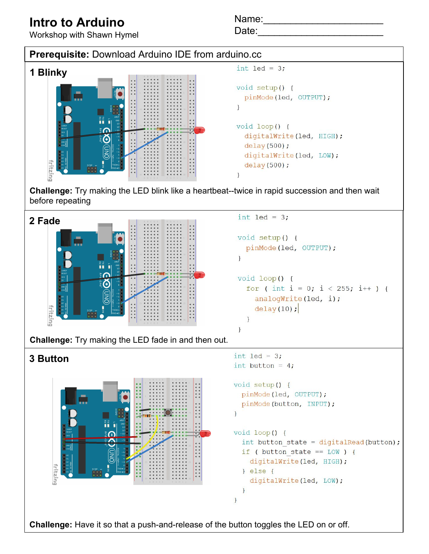## **Intro to Arduino**

Name:\_\_\_\_\_\_\_\_\_\_\_\_\_\_\_\_\_\_\_\_\_\_



**Challenge:** Have it so that a push-and-release of the button toggles the LED on or off.